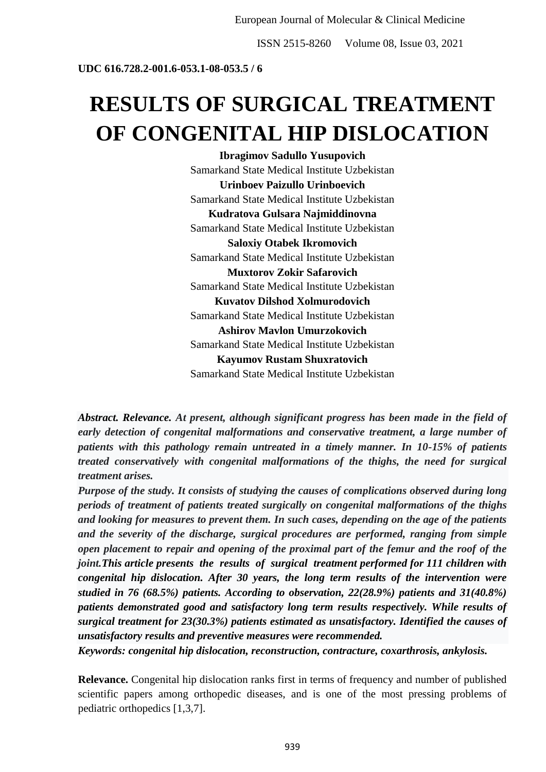ISSN 2515-8260 Volume 08, Issue 03, 2021

**UDC 616.728.2-001.6-053.1-08-053.5 / 6**

## **RESULTS OF SURGICAL TREATMENT OF CONGENITAL HIP DISLOCATION**

**Ibragimov Sadullo Yusupovich** Samarkand State Medical Institute Uzbekistan **Urinboev Paizullo Urinboevich** Samarkand State Medical Institute Uzbekistan **Kudratova Gulsara Najmiddinovna** Samarkand State Medical Institute Uzbekistan **Saloxiy Otabek Ikromovich** Samarkand State Medical Institute Uzbekistan **Muxtorov Zokir Safarovich** Samarkand State Medical Institute Uzbekistan **Kuvatov Dilshod Xolmurodovich** Samarkand State Medical Institute Uzbekistan **Ashirov Mavlon Umurzokovich** Samarkand State Medical Institute Uzbekistan **Kayumov Rustam Shuxratovich** Samarkand State Medical Institute Uzbekistan

*Abstract. Relevance. At present, although significant progress has been made in the field of early detection of congenital malformations and conservative treatment, a large number of patients with this pathology remain untreated in a timely manner. In 10-15% of patients treated conservatively with congenital malformations of the thighs, the need for surgical treatment arises.*

*Purpose of the study. It consists of studying the causes of complications observed during long periods of treatment of patients treated surgically on congenital malformations of the thighs and looking for measures to prevent them. In such cases, depending on the age of the patients and the severity of the discharge, surgical procedures are performed, ranging from simple open placement to repair and opening of the proximal part of the femur and the roof of the joint.This article presents the results of surgical treatment performed for 111 children with congenital hip dislocation. After 30 years, the long term results of the intervention were studied in 76 (68.5%) patients. According to observation, 22(28.9%) patients and 31(40.8%) patients demonstrated good and satisfactory long term results respectively. While results of surgical treatment for 23(30.3%) patients estimated as unsatisfactory. Identified the causes of unsatisfactory results and preventive measures were recommended.*

*Keywords: congenital hip dislocation, reconstruction, contracture, coxarthrosis, ankylosis.*

**Relevance.** Congenital hip dislocation ranks first in terms of frequency and number of published scientific papers among orthopedic diseases, and is one of the most pressing problems of pediatric orthopedics [1,3,7].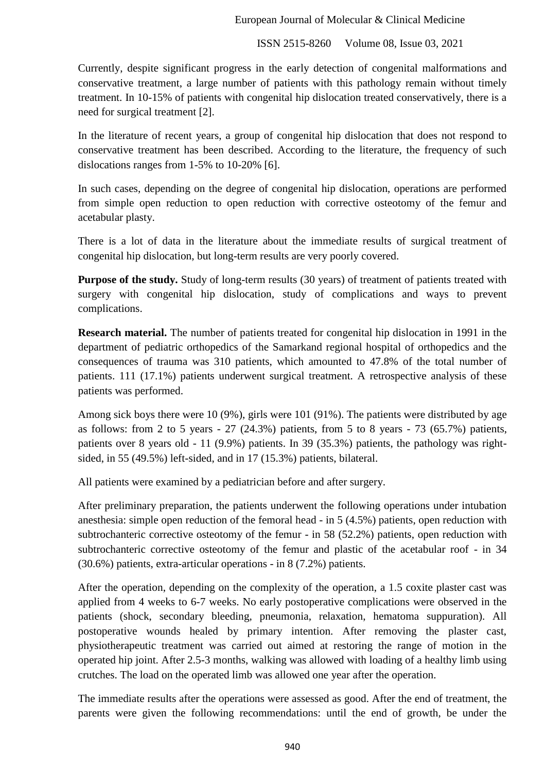Currently, despite significant progress in the early detection of congenital malformations and conservative treatment, a large number of patients with this pathology remain without timely treatment. In 10-15% of patients with congenital hip dislocation treated conservatively, there is a need for surgical treatment [2].

In the literature of recent years, a group of congenital hip dislocation that does not respond to conservative treatment has been described. According to the literature, the frequency of such dislocations ranges from 1-5% to 10-20% [6].

In such cases, depending on the degree of congenital hip dislocation, operations are performed from simple open reduction to open reduction with corrective osteotomy of the femur and acetabular plasty.

There is a lot of data in the literature about the immediate results of surgical treatment of congenital hip dislocation, but long-term results are very poorly covered.

**Purpose of the study.** Study of long-term results (30 years) of treatment of patients treated with surgery with congenital hip dislocation, study of complications and ways to prevent complications.

**Research material.** The number of patients treated for congenital hip dislocation in 1991 in the department of pediatric orthopedics of the Samarkand regional hospital of orthopedics and the consequences of trauma was 310 patients, which amounted to 47.8% of the total number of patients. 111 (17.1%) patients underwent surgical treatment. A retrospective analysis of these patients was performed.

Among sick boys there were 10 (9%), girls were 101 (91%). The patients were distributed by age as follows: from 2 to 5 years  $-27$  (24.3%) patients, from 5 to 8 years  $-73$  (65.7%) patients, patients over 8 years old - 11 (9.9%) patients. In 39 (35.3%) patients, the pathology was rightsided, in 55 (49.5%) left-sided, and in 17 (15.3%) patients, bilateral.

All patients were examined by a pediatrician before and after surgery.

After preliminary preparation, the patients underwent the following operations under intubation anesthesia: simple open reduction of the femoral head - in 5 (4.5%) patients, open reduction with subtrochanteric corrective osteotomy of the femur - in 58 (52.2%) patients, open reduction with subtrochanteric corrective osteotomy of the femur and plastic of the acetabular roof - in 34 (30.6%) patients, extra-articular operations - in 8 (7.2%) patients.

After the operation, depending on the complexity of the operation, a 1.5 coxite plaster cast was applied from 4 weeks to 6-7 weeks. No early postoperative complications were observed in the patients (shock, secondary bleeding, pneumonia, relaxation, hematoma suppuration). All postoperative wounds healed by primary intention. After removing the plaster cast, physiotherapeutic treatment was carried out aimed at restoring the range of motion in the operated hip joint. After 2.5-3 months, walking was allowed with loading of a healthy limb using crutches. The load on the operated limb was allowed one year after the operation.

The immediate results after the operations were assessed as good. After the end of treatment, the parents were given the following recommendations: until the end of growth, be under the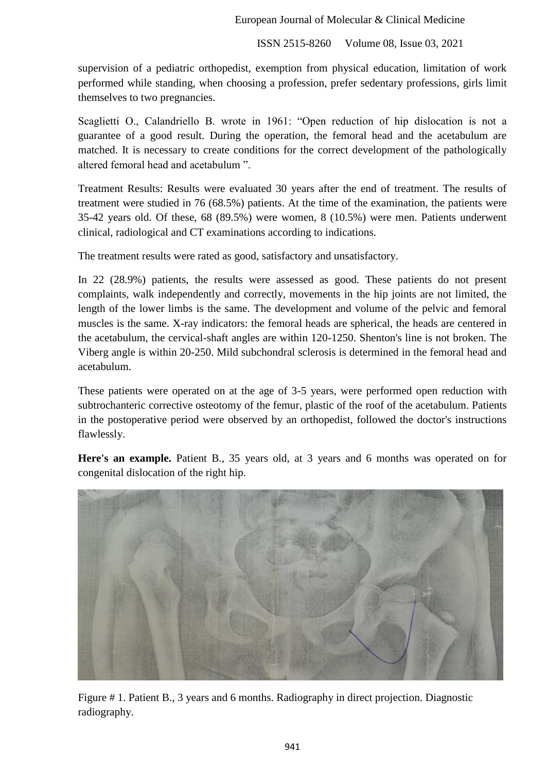ISSN 2515-8260 Volume 08, Issue 03, 2021

supervision of a pediatric orthopedist, exemption from physical education, limitation of work performed while standing, when choosing a profession, prefer sedentary professions, girls limit themselves to two pregnancies.

Scaglietti O., Calandriello B. wrote in 1961: "Open reduction of hip dislocation is not a guarantee of a good result. During the operation, the femoral head and the acetabulum are matched. It is necessary to create conditions for the correct development of the pathologically altered femoral head and acetabulum ".

Treatment Results: Results were evaluated 30 years after the end of treatment. The results of treatment were studied in 76 (68.5%) patients. At the time of the examination, the patients were 35-42 years old. Of these, 68 (89.5%) were women, 8 (10.5%) were men. Patients underwent clinical, radiological and CT examinations according to indications.

The treatment results were rated as good, satisfactory and unsatisfactory.

In 22 (28.9%) patients, the results were assessed as good. These patients do not present complaints, walk independently and correctly, movements in the hip joints are not limited, the length of the lower limbs is the same. The development and volume of the pelvic and femoral muscles is the same. X-ray indicators: the femoral heads are spherical, the heads are centered in the acetabulum, the cervical-shaft angles are within 120-1250. Shenton's line is not broken. The Viberg angle is within 20-250. Mild subchondral sclerosis is determined in the femoral head and acetabulum.

These patients were operated on at the age of 3-5 years, were performed open reduction with subtrochanteric corrective osteotomy of the femur, plastic of the roof of the acetabulum. Patients in the postoperative period were observed by an orthopedist, followed the doctor's instructions flawlessly.

**Here's an example.** Patient B., 35 years old, at 3 years and 6 months was operated on for congenital dislocation of the right hip.



Figure # 1. Patient B., 3 years and 6 months. Radiography in direct projection. Diagnostic radiography.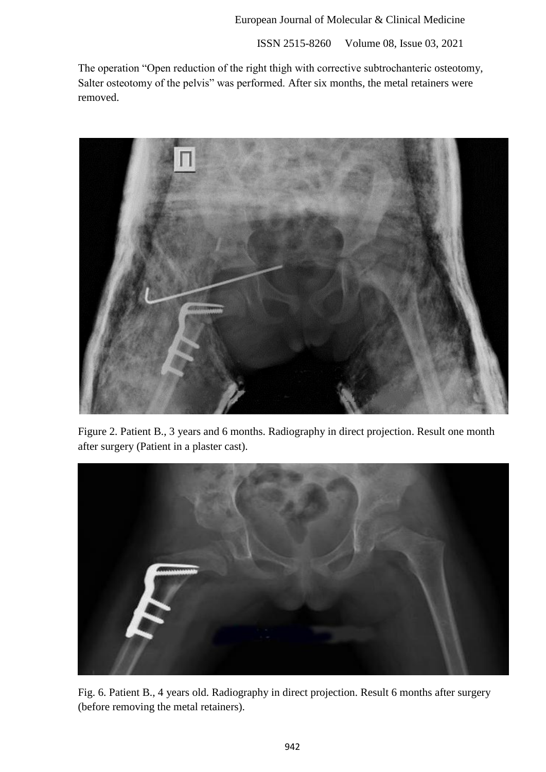ISSN 2515-8260 Volume 08, Issue 03, 2021

The operation "Open reduction of the right thigh with corrective subtrochanteric osteotomy, Salter osteotomy of the pelvis" was performed. After six months, the metal retainers were removed.



Figure 2. Patient B., 3 years and 6 months. Radiography in direct projection. Result one month after surgery (Patient in a plaster cast).



Fig. 6. Patient B., 4 years old. Radiography in direct projection. Result 6 months after surgery (before removing the metal retainers).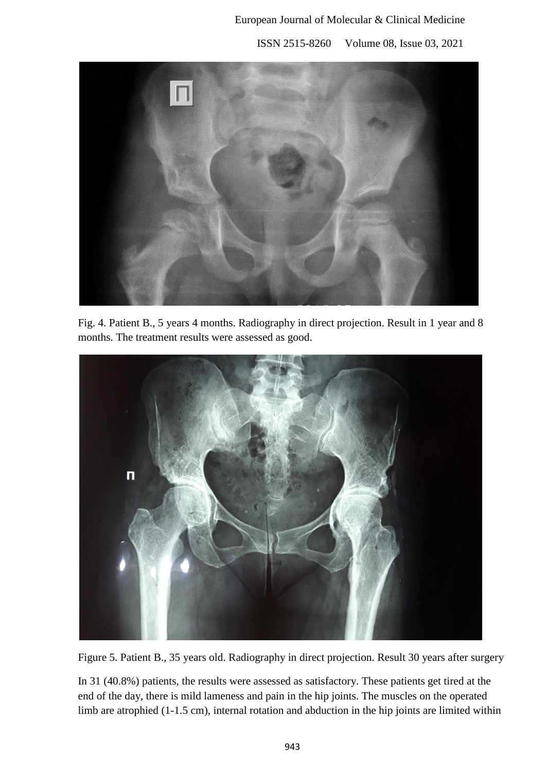ISSN 2515-8260 Volume 08, Issue 03, 2021



Fig. 4. Patient B., 5 years 4 months. Radiography in direct projection. Result in 1 year and 8 months. The treatment results were assessed as good.



Figure 5. Patient B., 35 years old. Radiography in direct projection. Result 30 years after surgery

In 31 (40.8%) patients, the results were assessed as satisfactory. These patients get tired at the end of the day, there is mild lameness and pain in the hip joints. The muscles on the operated limb are atrophied (1-1.5 cm), internal rotation and abduction in the hip joints are limited within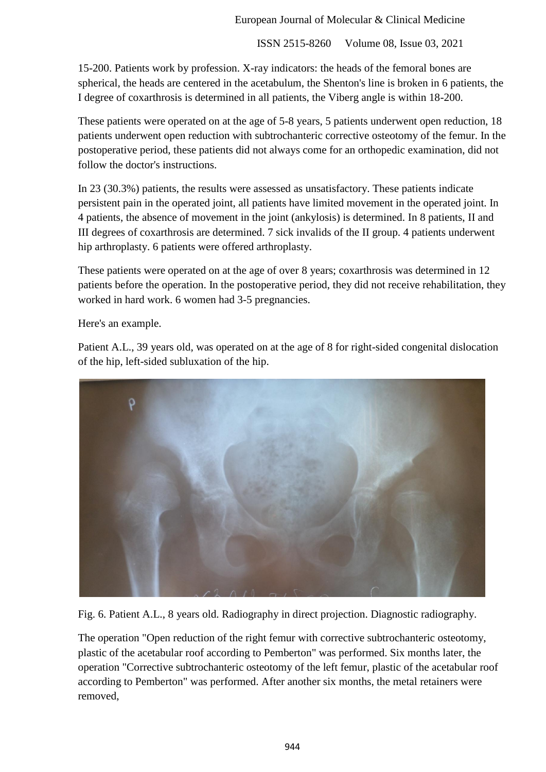15-200. Patients work by profession. X-ray indicators: the heads of the femoral bones are spherical, the heads are centered in the acetabulum, the Shenton's line is broken in 6 patients, the I degree of coxarthrosis is determined in all patients, the Viberg angle is within 18-200.

These patients were operated on at the age of 5-8 years, 5 patients underwent open reduction, 18 patients underwent open reduction with subtrochanteric corrective osteotomy of the femur. In the postoperative period, these patients did not always come for an orthopedic examination, did not follow the doctor's instructions.

In 23 (30.3%) patients, the results were assessed as unsatisfactory. These patients indicate persistent pain in the operated joint, all patients have limited movement in the operated joint. In 4 patients, the absence of movement in the joint (ankylosis) is determined. In 8 patients, II and III degrees of coxarthrosis are determined. 7 sick invalids of the II group. 4 patients underwent hip arthroplasty. 6 patients were offered arthroplasty.

These patients were operated on at the age of over 8 years; coxarthrosis was determined in 12 patients before the operation. In the postoperative period, they did not receive rehabilitation, they worked in hard work. 6 women had 3-5 pregnancies.

Here's an example.

Patient A.L., 39 years old, was operated on at the age of 8 for right-sided congenital dislocation of the hip, left-sided subluxation of the hip.



Fig. 6. Patient A.L., 8 years old. Radiography in direct projection. Diagnostic radiography.

The operation "Open reduction of the right femur with corrective subtrochanteric osteotomy, plastic of the acetabular roof according to Pemberton" was performed. Six months later, the operation "Corrective subtrochanteric osteotomy of the left femur, plastic of the acetabular roof according to Pemberton" was performed. After another six months, the metal retainers were removed,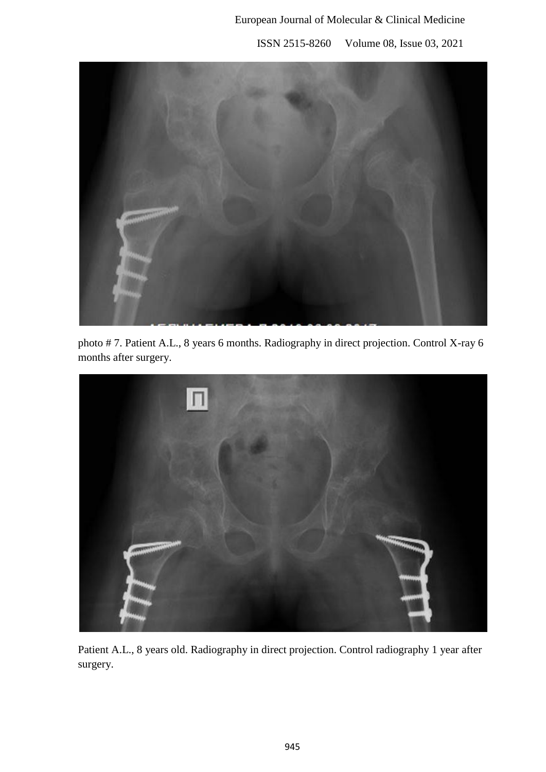

photo # 7. Patient A.L., 8 years 6 months. Radiography in direct projection. Control X-ray 6 months after surgery.



Patient A.L., 8 years old. Radiography in direct projection. Control radiography 1 year after surgery.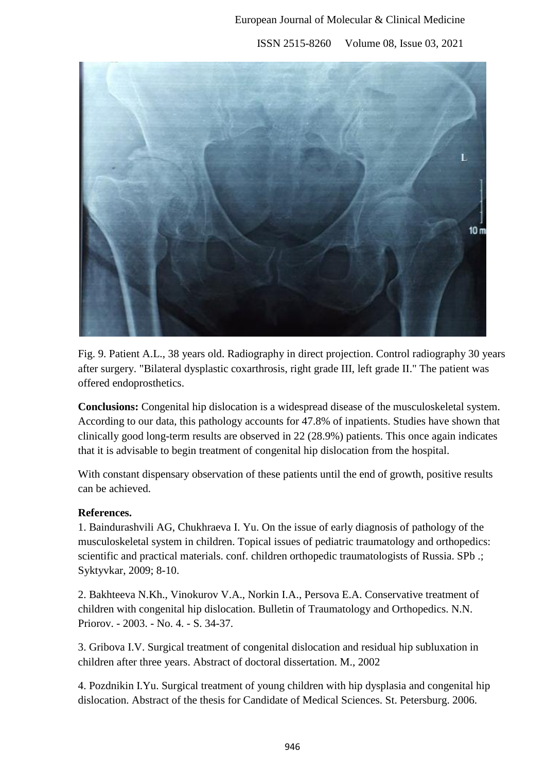

Fig. 9. Patient A.L., 38 years old. Radiography in direct projection. Control radiography 30 years after surgery. "Bilateral dysplastic coxarthrosis, right grade III, left grade II." The patient was offered endoprosthetics.

**Conclusions:** Congenital hip dislocation is a widespread disease of the musculoskeletal system. According to our data, this pathology accounts for 47.8% of inpatients. Studies have shown that clinically good long-term results are observed in 22 (28.9%) patients. This once again indicates that it is advisable to begin treatment of congenital hip dislocation from the hospital.

With constant dispensary observation of these patients until the end of growth, positive results can be achieved.

## **References.**

1. Baindurashvili AG, Chukhraeva I. Yu. On the issue of early diagnosis of pathology of the musculoskeletal system in children. Topical issues of pediatric traumatology and orthopedics: scientific and practical materials. conf. children orthopedic traumatologists of Russia. SPb .; Syktyvkar, 2009; 8-10.

2. Bakhteeva N.Kh., Vinokurov V.A., Norkin I.A., Persova E.A. Conservative treatment of children with congenital hip dislocation. Bulletin of Traumatology and Orthopedics. N.N. Priorov. - 2003. - No. 4. - S. 34-37.

3. Gribova I.V. Surgical treatment of congenital dislocation and residual hip subluxation in children after three years. Abstract of doctoral dissertation. M., 2002

4. Pozdnikin I.Yu. Surgical treatment of young children with hip dysplasia and congenital hip dislocation. Abstract of the thesis for Candidate of Medical Sciences. St. Petersburg. 2006.